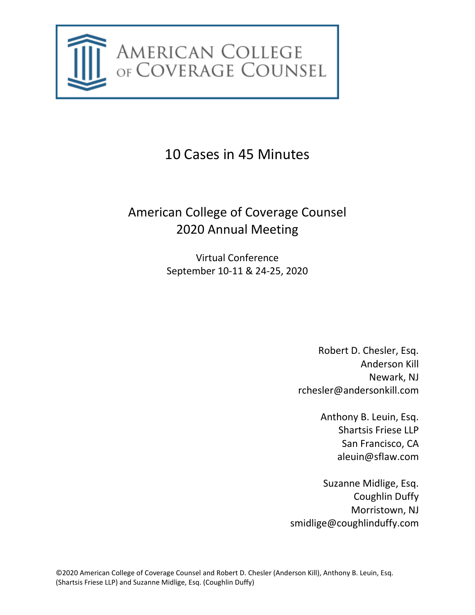

10 Cases in 45 Minutes

# American College of Coverage Counsel 2020 Annual Meeting

Virtual Conference September 10-11 & 24-25, 2020

> Robert D. Chesler, Esq. Anderson Kill Newark, NJ rchesler@andersonkill.com

> > Anthony B. Leuin, Esq. Shartsis Friese LLP San Francisco, CA aleuin@sflaw.com

Suzanne Midlige, Esq. Coughlin Duffy Morristown, NJ smidlige@coughlinduffy.com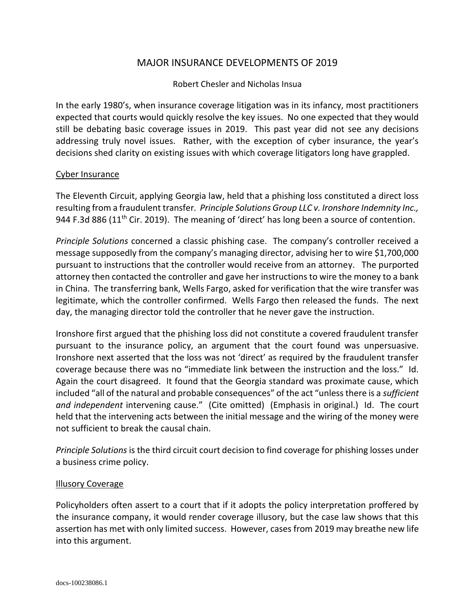## MAJOR INSURANCE DEVELOPMENTS OF 2019

#### Robert Chesler and Nicholas Insua

In the early 1980's, when insurance coverage litigation was in its infancy, most practitioners expected that courts would quickly resolve the key issues. No one expected that they would still be debating basic coverage issues in 2019. This past year did not see any decisions addressing truly novel issues. Rather, with the exception of cyber insurance, the year's decisions shed clarity on existing issues with which coverage litigators long have grappled.

#### Cyber Insurance

The Eleventh Circuit, applying Georgia law, held that a phishing loss constituted a direct loss resulting from a fraudulent transfer*. Principle Solutions Group LLC v. Ironshore Indemnity Inc.,* 944 F.3d 886 (11<sup>th</sup> Cir. 2019). The meaning of 'direct' has long been a source of contention.

*Principle Solutions* concerned a classic phishing case. The company's controller received a message supposedly from the company's managing director, advising her to wire \$1,700,000 pursuant to instructions that the controller would receive from an attorney. The purported attorney then contacted the controller and gave her instructions to wire the money to a bank in China. The transferring bank, Wells Fargo, asked for verification that the wire transfer was legitimate, which the controller confirmed. Wells Fargo then released the funds. The next day, the managing director told the controller that he never gave the instruction.

Ironshore first argued that the phishing loss did not constitute a covered fraudulent transfer pursuant to the insurance policy, an argument that the court found was unpersuasive. Ironshore next asserted that the loss was not 'direct' as required by the fraudulent transfer coverage because there was no "immediate link between the instruction and the loss." Id. Again the court disagreed. It found that the Georgia standard was proximate cause, which included "all of the natural and probable consequences" of the act "unless there is a *sufficient and independent* intervening cause." (Cite omitted) (Emphasis in original.) Id. The court held that the intervening acts between the initial message and the wiring of the money were not sufficient to break the causal chain.

*Principle Solutions* is the third circuit court decision to find coverage for phishing losses under a business crime policy.

#### Illusory Coverage

Policyholders often assert to a court that if it adopts the policy interpretation proffered by the insurance company, it would render coverage illusory, but the case law shows that this assertion has met with only limited success. However, cases from 2019 may breathe new life into this argument.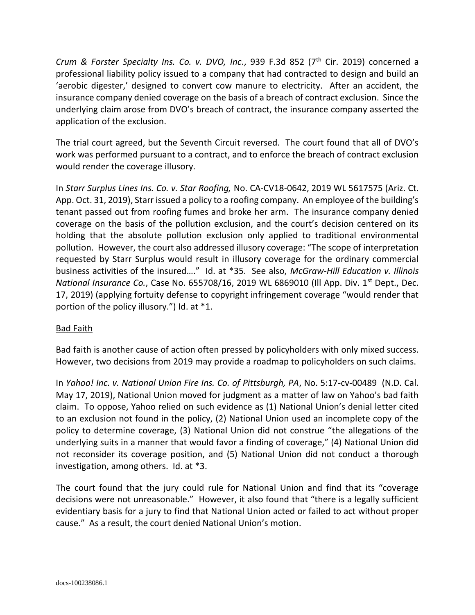*Crum & Forster Specialty Ins. Co. v. DVO, Inc., 939 F.3d 852 (7<sup>th</sup> Cir. 2019) concerned a* professional liability policy issued to a company that had contracted to design and build an 'aerobic digester,' designed to convert cow manure to electricity. After an accident, the insurance company denied coverage on the basis of a breach of contract exclusion. Since the underlying claim arose from DVO's breach of contract, the insurance company asserted the application of the exclusion.

The trial court agreed, but the Seventh Circuit reversed. The court found that all of DVO's work was performed pursuant to a contract, and to enforce the breach of contract exclusion would render the coverage illusory.

In *Starr Surplus Lines Ins. Co. v. Star Roofing,* No. CA-CV18-0642, 2019 WL 5617575 (Ariz. Ct. App. Oct. 31, 2019), Starr issued a policy to a roofing company. An employee of the building's tenant passed out from roofing fumes and broke her arm. The insurance company denied coverage on the basis of the pollution exclusion, and the court's decision centered on its holding that the absolute pollution exclusion only applied to traditional environmental pollution. However, the court also addressed illusory coverage: "The scope of interpretation requested by Starr Surplus would result in illusory coverage for the ordinary commercial business activities of the insured…." Id. at \*35. See also, *McGraw-Hill Education v. Illinois National Insurance Co., Case No. 655708/16, 2019 WL 6869010 (Ill App. Div. 1<sup>st</sup> Dept., Dec.* 17, 2019) (applying fortuity defense to copyright infringement coverage "would render that portion of the policy illusory.") Id. at \*1.

## Bad Faith

Bad faith is another cause of action often pressed by policyholders with only mixed success. However, two decisions from 2019 may provide a roadmap to policyholders on such claims.

In *Yahoo! Inc. v. National Union Fire Ins. Co. of Pittsburgh, PA*, No. 5:17-cv-00489 (N.D. Cal. May 17, 2019), National Union moved for judgment as a matter of law on Yahoo's bad faith claim. To oppose, Yahoo relied on such evidence as (1) National Union's denial letter cited to an exclusion not found in the policy, (2) National Union used an incomplete copy of the policy to determine coverage, (3) National Union did not construe "the allegations of the underlying suits in a manner that would favor a finding of coverage," (4) National Union did not reconsider its coverage position, and (5) National Union did not conduct a thorough investigation, among others. Id. at \*3.

The court found that the jury could rule for National Union and find that its "coverage decisions were not unreasonable." However, it also found that "there is a legally sufficient evidentiary basis for a jury to find that National Union acted or failed to act without proper cause." As a result, the court denied National Union's motion.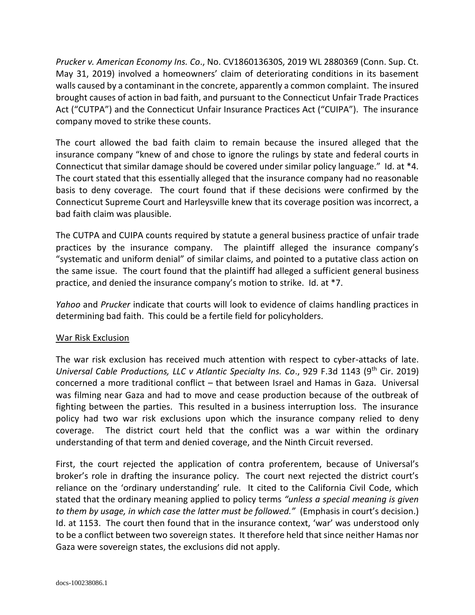*Prucker v. American Economy Ins. Co*., No. CV186013630S, 2019 WL 2880369 (Conn. Sup. Ct. May 31, 2019) involved a homeowners' claim of deteriorating conditions in its basement walls caused by a contaminant in the concrete, apparently a common complaint. The insured brought causes of action in bad faith, and pursuant to the Connecticut Unfair Trade Practices Act ("CUTPA") and the Connecticut Unfair Insurance Practices Act ("CUIPA"). The insurance company moved to strike these counts.

The court allowed the bad faith claim to remain because the insured alleged that the insurance company "knew of and chose to ignore the rulings by state and federal courts in Connecticut that similar damage should be covered under similar policy language." Id. at \*4. The court stated that this essentially alleged that the insurance company had no reasonable basis to deny coverage. The court found that if these decisions were confirmed by the Connecticut Supreme Court and Harleysville knew that its coverage position was incorrect, a bad faith claim was plausible.

The CUTPA and CUIPA counts required by statute a general business practice of unfair trade practices by the insurance company. The plaintiff alleged the insurance company's "systematic and uniform denial" of similar claims, and pointed to a putative class action on the same issue. The court found that the plaintiff had alleged a sufficient general business practice, and denied the insurance company's motion to strike. Id. at \*7.

*Yahoo* and *Prucker* indicate that courts will look to evidence of claims handling practices in determining bad faith. This could be a fertile field for policyholders.

## War Risk Exclusion

The war risk exclusion has received much attention with respect to cyber-attacks of late. *Universal Cable Productions, LLC v Atlantic Specialty Ins. Co., 929 F.3d 1143 (9<sup>th</sup> Cir. 2019)* concerned a more traditional conflict – that between Israel and Hamas in Gaza. Universal was filming near Gaza and had to move and cease production because of the outbreak of fighting between the parties. This resulted in a business interruption loss. The insurance policy had two war risk exclusions upon which the insurance company relied to deny coverage. The district court held that the conflict was a war within the ordinary understanding of that term and denied coverage, and the Ninth Circuit reversed.

First, the court rejected the application of contra proferentem, because of Universal's broker's role in drafting the insurance policy. The court next rejected the district court's reliance on the 'ordinary understanding' rule. It cited to the California Civil Code, which stated that the ordinary meaning applied to policy terms *"unless a special meaning is given to them by usage, in which case the latter must be followed."* (Emphasis in court's decision.) Id. at 1153. The court then found that in the insurance context, 'war' was understood only to be a conflict between two sovereign states. It therefore held that since neither Hamas nor Gaza were sovereign states, the exclusions did not apply.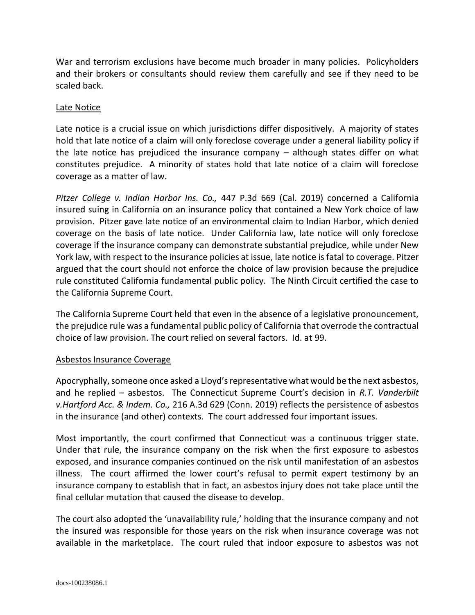War and terrorism exclusions have become much broader in many policies. Policyholders and their brokers or consultants should review them carefully and see if they need to be scaled back.

#### Late Notice

Late notice is a crucial issue on which jurisdictions differ dispositively. A majority of states hold that late notice of a claim will only foreclose coverage under a general liability policy if the late notice has prejudiced the insurance company – although states differ on what constitutes prejudice. A minority of states hold that late notice of a claim will foreclose coverage as a matter of law.

*Pitzer College v. Indian Harbor Ins. Co.,* 447 P.3d 669 (Cal. 2019) concerned a California insured suing in California on an insurance policy that contained a New York choice of law provision. Pitzer gave late notice of an environmental claim to Indian Harbor, which denied coverage on the basis of late notice. Under California law, late notice will only foreclose coverage if the insurance company can demonstrate substantial prejudice, while under New York law, with respect to the insurance policies at issue, late notice is fatal to coverage. Pitzer argued that the court should not enforce the choice of law provision because the prejudice rule constituted California fundamental public policy. The Ninth Circuit certified the case to the California Supreme Court.

The California Supreme Court held that even in the absence of a legislative pronouncement, the prejudice rule was a fundamental public policy of California that overrode the contractual choice of law provision. The court relied on several factors. Id. at 99.

#### Asbestos Insurance Coverage

Apocryphally, someone once asked a Lloyd's representative what would be the next asbestos, and he replied – asbestos. The Connecticut Supreme Court's decision in *R.T. Vanderbilt v.Hartford Acc. & Indem. Co.,* 216 A.3d 629 (Conn. 2019) reflects the persistence of asbestos in the insurance (and other) contexts. The court addressed four important issues.

Most importantly, the court confirmed that Connecticut was a continuous trigger state. Under that rule, the insurance company on the risk when the first exposure to asbestos exposed, and insurance companies continued on the risk until manifestation of an asbestos illness. The court affirmed the lower court's refusal to permit expert testimony by an insurance company to establish that in fact, an asbestos injury does not take place until the final cellular mutation that caused the disease to develop.

The court also adopted the 'unavailability rule,' holding that the insurance company and not the insured was responsible for those years on the risk when insurance coverage was not available in the marketplace. The court ruled that indoor exposure to asbestos was not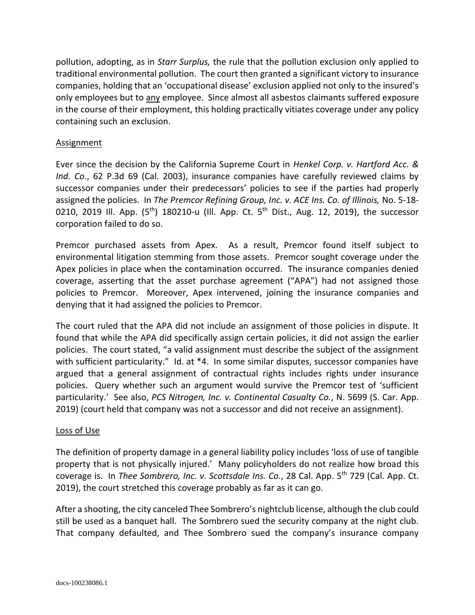pollution, adopting, as in *Starr Surplus,* the rule that the pollution exclusion only applied to traditional environmental pollution. The court then granted a significant victory to insurance companies, holding that an 'occupational disease' exclusion applied not only to the insured's only employees but to any employee. Since almost all asbestos claimants suffered exposure in the course of their employment, this holding practically vitiates coverage under any policy containing such an exclusion.

## Assignment

Ever since the decision by the California Supreme Court in *Henkel Corp. v. Hartford Acc. & Ind. Co*., 62 P.3d 69 (Cal. 2003), insurance companies have carefully reviewed claims by successor companies under their predecessors' policies to see if the parties had properly assigned the policies. In *The Premcor Refining Group, Inc. v. ACE Ins. Co. of Illinois,* No. 5-18- 0210, 2019 Ill. App. (5<sup>th</sup>) 180210-u (Ill. App. Ct. 5<sup>th</sup> Dist., Aug. 12, 2019), the successor corporation failed to do so.

Premcor purchased assets from Apex. As a result, Premcor found itself subject to environmental litigation stemming from those assets. Premcor sought coverage under the Apex policies in place when the contamination occurred. The insurance companies denied coverage, asserting that the asset purchase agreement ("APA") had not assigned those policies to Premcor. Moreover, Apex intervened, joining the insurance companies and denying that it had assigned the policies to Premcor.

The court ruled that the APA did not include an assignment of those policies in dispute. It found that while the APA did specifically assign certain policies, it did not assign the earlier policies. The court stated, "a valid assignment must describe the subject of the assignment with sufficient particularity." Id. at \*4. In some similar disputes, successor companies have argued that a general assignment of contractual rights includes rights under insurance policies. Query whether such an argument would survive the Premcor test of 'sufficient particularity.' See also, *PCS Nitrogen, Inc. v. Continental Casualty Co.*, N. 5699 (S. Car. App. 2019) (court held that company was not a successor and did not receive an assignment).

#### Loss of Use

The definition of property damage in a general liability policy includes 'loss of use of tangible property that is not physically injured.' Many policyholders do not realize how broad this coverage is. In *Thee Sombrero, Inc. v. Scottsdale Ins. Co.*, 28 Cal. App. 5th 729 (Cal. App. Ct. 2019), the court stretched this coverage probably as far as it can go.

After a shooting, the city canceled Thee Sombrero's nightclub license, although the club could still be used as a banquet hall. The Sombrero sued the security company at the night club. That company defaulted, and Thee Sombrero sued the company's insurance company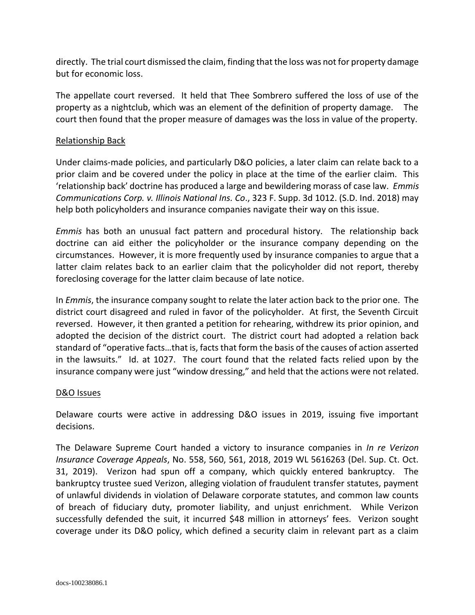directly. The trial court dismissed the claim, finding that the loss was not for property damage but for economic loss.

The appellate court reversed. It held that Thee Sombrero suffered the loss of use of the property as a nightclub, which was an element of the definition of property damage. The court then found that the proper measure of damages was the loss in value of the property.

## Relationship Back

Under claims-made policies, and particularly D&O policies, a later claim can relate back to a prior claim and be covered under the policy in place at the time of the earlier claim. This 'relationship back' doctrine has produced a large and bewildering morass of case law. *Emmis Communications Corp. v. Illinois National Ins. Co*., 323 F. Supp. 3d 1012. (S.D. Ind. 2018) may help both policyholders and insurance companies navigate their way on this issue.

*Emmis* has both an unusual fact pattern and procedural history. The relationship back doctrine can aid either the policyholder or the insurance company depending on the circumstances. However, it is more frequently used by insurance companies to argue that a latter claim relates back to an earlier claim that the policyholder did not report, thereby foreclosing coverage for the latter claim because of late notice.

In *Emmis*, the insurance company sought to relate the later action back to the prior one. The district court disagreed and ruled in favor of the policyholder. At first, the Seventh Circuit reversed. However, it then granted a petition for rehearing, withdrew its prior opinion, and adopted the decision of the district court. The district court had adopted a relation back standard of "operative facts…that is, facts that form the basis of the causes of action asserted in the lawsuits." Id. at 1027. The court found that the related facts relied upon by the insurance company were just "window dressing," and held that the actions were not related.

#### D&O Issues

Delaware courts were active in addressing D&O issues in 2019, issuing five important decisions.

The Delaware Supreme Court handed a victory to insurance companies in *In re Verizon Insurance Coverage Appeals*, No. 558, 560, 561, 2018, 2019 WL 5616263 (Del. Sup. Ct. Oct. 31, 2019). Verizon had spun off a company, which quickly entered bankruptcy. The bankruptcy trustee sued Verizon, alleging violation of fraudulent transfer statutes, payment of unlawful dividends in violation of Delaware corporate statutes, and common law counts of breach of fiduciary duty, promoter liability, and unjust enrichment. While Verizon successfully defended the suit, it incurred \$48 million in attorneys' fees. Verizon sought coverage under its D&O policy, which defined a security claim in relevant part as a claim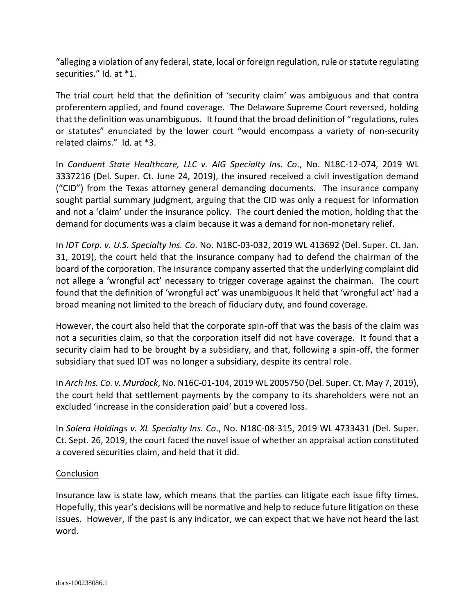"alleging a violation of any federal, state, local or foreign regulation, rule or statute regulating securities." Id. at \*1.

The trial court held that the definition of 'security claim' was ambiguous and that contra proferentem applied, and found coverage. The Delaware Supreme Court reversed, holding that the definition was unambiguous. It found that the broad definition of "regulations, rules or statutes" enunciated by the lower court "would encompass a variety of non-security related claims." Id. at \*3.

In *Conduent State Healthcare, LLC v. AIG Specialty Ins. Co*., No. N18C-12-074, 2019 WL 3337216 (Del. Super. Ct. June 24, 2019), the insured received a civil investigation demand ("CID") from the Texas attorney general demanding documents. The insurance company sought partial summary judgment, arguing that the CID was only a request for information and not a 'claim' under the insurance policy. The court denied the motion, holding that the demand for documents was a claim because it was a demand for non-monetary relief.

In *IDT Corp. v. U.S. Specialty Ins. Co*. No. N18C-03-032, 2019 WL 413692 (Del. Super. Ct. Jan. 31, 2019), the court held that the insurance company had to defend the chairman of the board of the corporation. The insurance company asserted that the underlying complaint did not allege a 'wrongful act' necessary to trigger coverage against the chairman. The court found that the definition of 'wrongful act' was unambiguous It held that 'wrongful act' had a broad meaning not limited to the breach of fiduciary duty, and found coverage.

However, the court also held that the corporate spin-off that was the basis of the claim was not a securities claim, so that the corporation itself did not have coverage. It found that a security claim had to be brought by a subsidiary, and that, following a spin-off, the former subsidiary that sued IDT was no longer a subsidiary, despite its central role.

In *Arch Ins. Co. v. Murdock*, No. N16C-01-104, 2019 WL 2005750 (Del. Super. Ct. May 7, 2019), the court held that settlement payments by the company to its shareholders were not an excluded 'increase in the consideration paid' but a covered loss.

In *Solera Holdings v. XL Specialty Ins. Co*., No. N18C-08-315, 2019 WL 4733431 (Del. Super. Ct. Sept. 26, 2019, the court faced the novel issue of whether an appraisal action constituted a covered securities claim, and held that it did.

## **Conclusion**

Insurance law is state law, which means that the parties can litigate each issue fifty times. Hopefully, this year's decisions will be normative and help to reduce future litigation on these issues. However, if the past is any indicator, we can expect that we have not heard the last word.